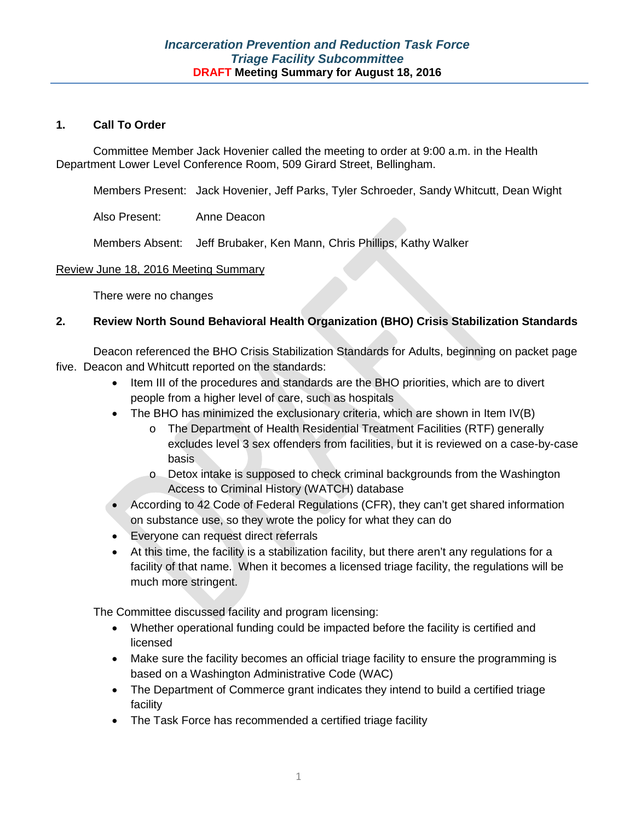### **1. Call To Order**

Committee Member Jack Hovenier called the meeting to order at 9:00 a.m. in the Health Department Lower Level Conference Room, 509 Girard Street, Bellingham.

Members Present: Jack Hovenier, Jeff Parks, Tyler Schroeder, Sandy Whitcutt, Dean Wight

Also Present: Anne Deacon

Members Absent: Jeff Brubaker, Ken Mann, Chris Phillips, Kathy Walker

### Review June 18, 2016 Meeting Summary

There were no changes

# **2. Review North Sound Behavioral Health Organization (BHO) Crisis Stabilization Standards**

Deacon referenced the BHO Crisis Stabilization Standards for Adults, beginning on packet page five. Deacon and Whitcutt reported on the standards:

- Item III of the procedures and standards are the BHO priorities, which are to divert people from a higher level of care, such as hospitals
- The BHO has minimized the exclusionary criteria, which are shown in Item IV(B)
	- o The Department of Health Residential Treatment Facilities (RTF) generally excludes level 3 sex offenders from facilities, but it is reviewed on a case-by-case basis
	- o Detox intake is supposed to check criminal backgrounds from the Washington Access to Criminal History (WATCH) database
- According to 42 Code of Federal Regulations (CFR), they can't get shared information on substance use, so they wrote the policy for what they can do
- Everyone can request direct referrals
- At this time, the facility is a stabilization facility, but there aren't any regulations for a facility of that name. When it becomes a licensed triage facility, the regulations will be much more stringent.

The Committee discussed facility and program licensing:

- Whether operational funding could be impacted before the facility is certified and licensed
- Make sure the facility becomes an official triage facility to ensure the programming is based on a Washington Administrative Code (WAC)
- The Department of Commerce grant indicates they intend to build a certified triage facility
- The Task Force has recommended a certified triage facility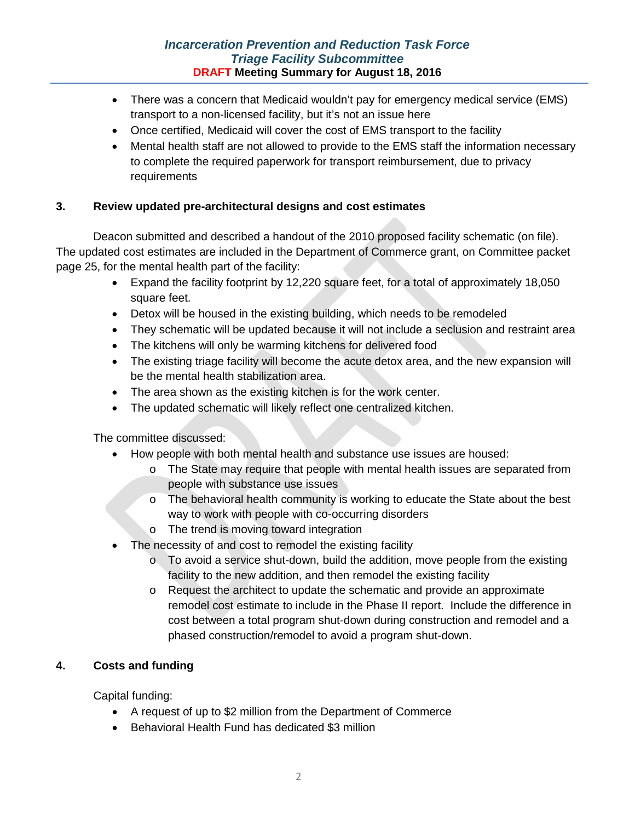# *Incarceration Prevention and Reduction Task Force Triage Facility Subcommittee* **DRAFT Meeting Summary for August 18, 2016**

- There was a concern that Medicaid wouldn't pay for emergency medical service (EMS) transport to a non-licensed facility, but it's not an issue here
- Once certified, Medicaid will cover the cost of EMS transport to the facility
- Mental health staff are not allowed to provide to the EMS staff the information necessary to complete the required paperwork for transport reimbursement, due to privacy requirements

# **3. Review updated pre-architectural designs and cost estimates**

Deacon submitted and described a handout of the 2010 proposed facility schematic (on file). The updated cost estimates are included in the Department of Commerce grant, on Committee packet page 25, for the mental health part of the facility:

- Expand the facility footprint by 12,220 square feet, for a total of approximately 18,050 square feet.
- Detox will be housed in the existing building, which needs to be remodeled
- They schematic will be updated because it will not include a seclusion and restraint area
- The kitchens will only be warming kitchens for delivered food
- The existing triage facility will become the acute detox area, and the new expansion will be the mental health stabilization area.
- The area shown as the existing kitchen is for the work center.
- The updated schematic will likely reflect one centralized kitchen.

The committee discussed:

- How people with both mental health and substance use issues are housed:
	- o The State may require that people with mental health issues are separated from people with substance use issues
	- o The behavioral health community is working to educate the State about the best way to work with people with co-occurring disorders
	- o The trend is moving toward integration
- The necessity of and cost to remodel the existing facility
	- $\circ$  To avoid a service shut-down, build the addition, move people from the existing facility to the new addition, and then remodel the existing facility
	- o Request the architect to update the schematic and provide an approximate remodel cost estimate to include in the Phase II report. Include the difference in cost between a total program shut-down during construction and remodel and a phased construction/remodel to avoid a program shut-down.

# **4. Costs and funding**

Capital funding:

- A request of up to \$2 million from the Department of Commerce
- Behavioral Health Fund has dedicated \$3 million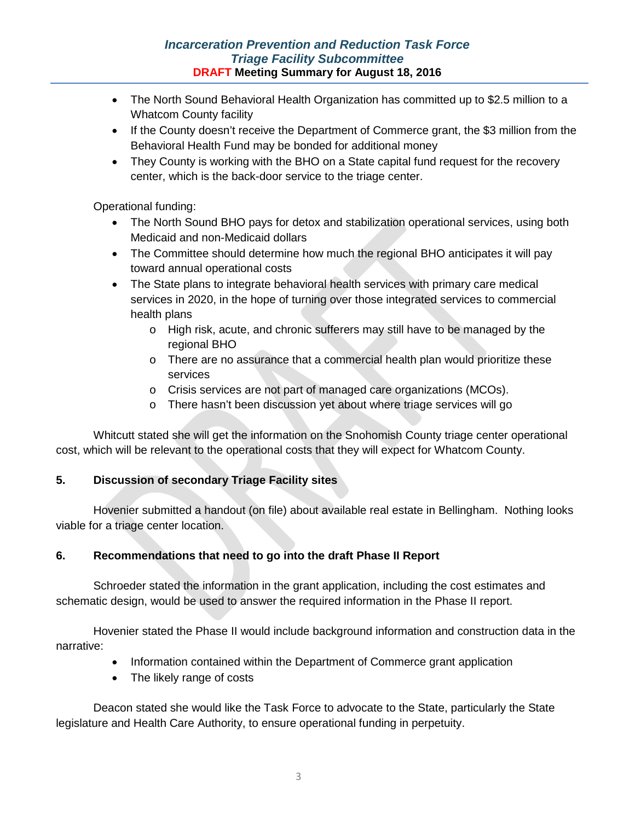# *Incarceration Prevention and Reduction Task Force Triage Facility Subcommittee* **DRAFT Meeting Summary for August 18, 2016**

- The North Sound Behavioral Health Organization has committed up to \$2.5 million to a Whatcom County facility
- If the County doesn't receive the Department of Commerce grant, the \$3 million from the Behavioral Health Fund may be bonded for additional money
- They County is working with the BHO on a State capital fund request for the recovery center, which is the back-door service to the triage center.

Operational funding:

- The North Sound BHO pays for detox and stabilization operational services, using both Medicaid and non-Medicaid dollars
- The Committee should determine how much the regional BHO anticipates it will pay toward annual operational costs
- The State plans to integrate behavioral health services with primary care medical services in 2020, in the hope of turning over those integrated services to commercial health plans
	- o High risk, acute, and chronic sufferers may still have to be managed by the regional BHO
	- o There are no assurance that a commercial health plan would prioritize these services
	- o Crisis services are not part of managed care organizations (MCOs).
	- o There hasn't been discussion yet about where triage services will go

Whitcutt stated she will get the information on the Snohomish County triage center operational cost, which will be relevant to the operational costs that they will expect for Whatcom County.

# **5. Discussion of secondary Triage Facility sites**

Hovenier submitted a handout (on file) about available real estate in Bellingham. Nothing looks viable for a triage center location.

# **6. Recommendations that need to go into the draft Phase II Report**

Schroeder stated the information in the grant application, including the cost estimates and schematic design, would be used to answer the required information in the Phase II report.

Hovenier stated the Phase II would include background information and construction data in the narrative:

- Information contained within the Department of Commerce grant application
- The likely range of costs

Deacon stated she would like the Task Force to advocate to the State, particularly the State legislature and Health Care Authority, to ensure operational funding in perpetuity.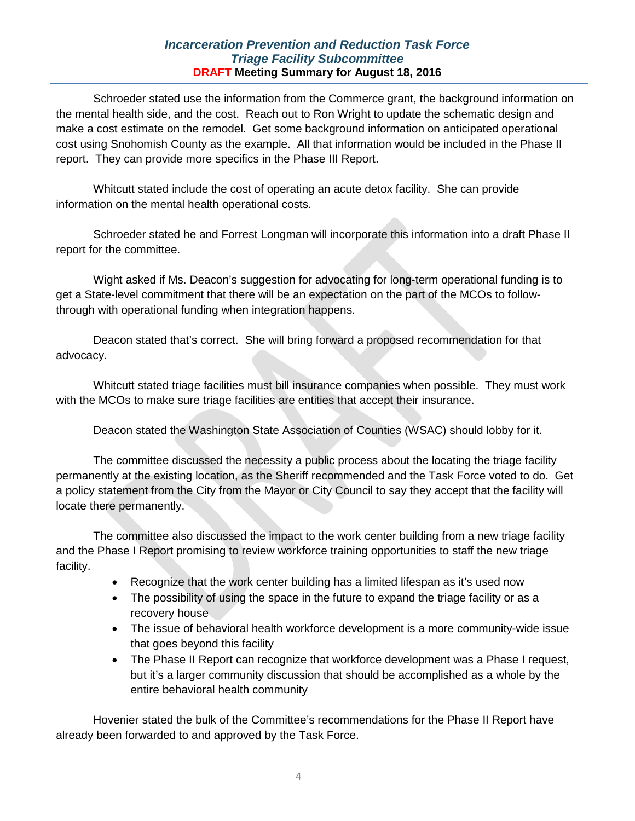### *Incarceration Prevention and Reduction Task Force Triage Facility Subcommittee* **DRAFT Meeting Summary for August 18, 2016**

Schroeder stated use the information from the Commerce grant, the background information on the mental health side, and the cost. Reach out to Ron Wright to update the schematic design and make a cost estimate on the remodel. Get some background information on anticipated operational cost using Snohomish County as the example. All that information would be included in the Phase II report. They can provide more specifics in the Phase III Report.

Whitcutt stated include the cost of operating an acute detox facility. She can provide information on the mental health operational costs.

Schroeder stated he and Forrest Longman will incorporate this information into a draft Phase II report for the committee.

Wight asked if Ms. Deacon's suggestion for advocating for long-term operational funding is to get a State-level commitment that there will be an expectation on the part of the MCOs to followthrough with operational funding when integration happens.

Deacon stated that's correct. She will bring forward a proposed recommendation for that advocacy.

Whitcutt stated triage facilities must bill insurance companies when possible. They must work with the MCOs to make sure triage facilities are entities that accept their insurance.

Deacon stated the Washington State Association of Counties (WSAC) should lobby for it.

The committee discussed the necessity a public process about the locating the triage facility permanently at the existing location, as the Sheriff recommended and the Task Force voted to do. Get a policy statement from the City from the Mayor or City Council to say they accept that the facility will locate there permanently.

The committee also discussed the impact to the work center building from a new triage facility and the Phase I Report promising to review workforce training opportunities to staff the new triage facility.

- Recognize that the work center building has a limited lifespan as it's used now
- The possibility of using the space in the future to expand the triage facility or as a recovery house
- The issue of behavioral health workforce development is a more community-wide issue that goes beyond this facility
- The Phase II Report can recognize that workforce development was a Phase I request, but it's a larger community discussion that should be accomplished as a whole by the entire behavioral health community

Hovenier stated the bulk of the Committee's recommendations for the Phase II Report have already been forwarded to and approved by the Task Force.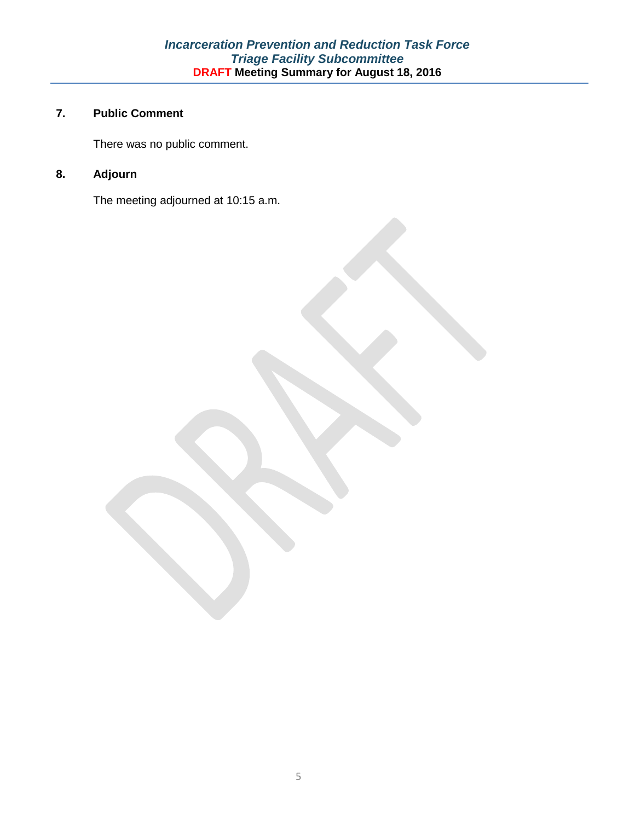# **7. Public Comment**

There was no public comment.

# **8. Adjourn**

The meeting adjourned at 10:15 a.m.